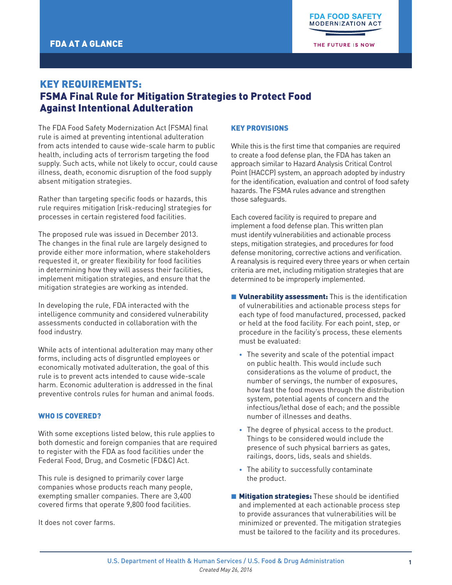THE FUTURE IS NOW

# KEY REQUIREMENTS: FSMA Final Rule for Mitigation Strategies to Protect Food Against Intentional Adulteration

The FDA Food Safety Modernization Act (FSMA) final rule is aimed at preventing intentional adulteration from acts intended to cause wide-scale harm to public health, including acts of terrorism targeting the food supply. Such acts, while not likely to occur, could cause illness, death, economic disruption of the food supply absent mitigation strategies.

Rather than targeting specific foods or hazards, this rule requires mitigation (risk-reducing) strategies for processes in certain registered food facilities.

The proposed rule was issued in December 2013. The changes in the final rule are largely designed to provide either more information, where stakeholders requested it, or greater flexibility for food facilities in determining how they will assess their facilities, implement mitigation strategies, and ensure that the mitigation strategies are working as intended.

In developing the rule, FDA interacted with the intelligence community and considered vulnerability assessments conducted in collaboration with the food industry.

While acts of intentional adulteration may many other forms, including acts of disgruntled employees or economically motivated adulteration, the goal of this rule is to prevent acts intended to cause wide-scale harm. Economic adulteration is addressed in the final preventive controls rules for human and animal foods.

### WHO IS COVERED?

With some exceptions listed below, this rule applies to both domestic and foreign companies that are required to register with the FDA as food facilities under the Federal Food, Drug, and Cosmetic (FD&C) Act.

This rule is designed to primarily cover large companies whose products reach many people, exempting smaller companies. There are 3,400 covered firms that operate 9,800 food facilities.

It does not cover farms.

#### KEY PROVISIONS

While this is the first time that companies are required to create a food defense plan, the FDA has taken an approach similar to Hazard Analysis Critical Control Point (HACCP) system, an approach adopted by industry for the identification, evaluation and control of food safety hazards. The FSMA rules advance and strengthen those safeguards.

Each covered facility is required to prepare and implement a food defense plan. This written plan must identify vulnerabilities and actionable process steps, mitigation strategies, and procedures for food defense monitoring, corrective actions and verification. A reanalysis is required every three years or when certain criteria are met, including mitigation strategies that are determined to be improperly implemented.

- **ulnerability assessment:** This is the identification of vulnerabilities and actionable process steps for each type of food manufactured, processed, packed or held at the food facility. For each point, step, or procedure in the facility's process, these elements must be evaluated:
	- The severity and scale of the potential impact on public health. This would include such considerations as the volume of product, the number of servings, the number of exposures, how fast the food moves through the distribution system, potential agents of concern and the infectious/lethal dose of each; and the possible number of illnesses and deaths.
	- The degree of physical access to the product. Things to be considered would include the presence of such physical barriers as gates, railings, doors, lids, seals and shields.
	- The ability to successfully contaminate the product.
- **E** Mitigation strategies: These should be identified and implemented at each actionable process step to provide assurances that vulnerabilities will be minimized or prevented. The mitigation strategies must be tailored to the facility and its procedures.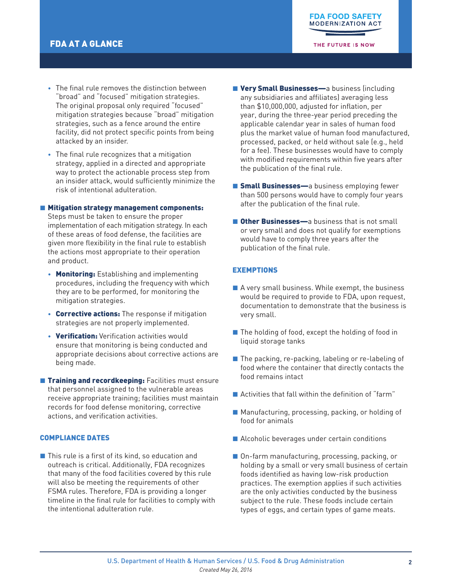THE FUTURE IS NOW

- The final rule removes the distinction between "broad" and "focused" mitigation strategies. The original proposal only required "focused" mitigation strategies because "broad" mitigation strategies, such as a fence around the entire facility, did not protect specific points from being attacked by an insider.
- The final rule recognizes that a mitigation strategy, applied in a directed and appropriate way to protect the actionable process step from an insider attack, would sufficiently minimize the risk of intentional adulteration.

#### ■ Mitigation strategy management components:

Steps must be taken to ensure the proper implementation of each mitigation strategy. In each of these areas of food defense, the facilities are given more flexibility in the final rule to establish the actions most appropriate to their operation and product.

- Monitoring: Establishing and implementing procedures, including the frequency with which they are to be performed, for monitoring the mitigation strategies.
- Corrective actions: The response if mitigation strategies are not properly implemented.
- Verification: Verification activities would ensure that monitoring is being conducted and appropriate decisions about corrective actions are being made.
- **Training and recordkeeping: Facilities must ensure** that personnel assigned to the vulnerable areas receive appropriate training; facilities must maintain records for food defense monitoring, corrective actions, and verification activities.

# COMPLIANCE DATES

 $\blacksquare$  This rule is a first of its kind, so education and outreach is critical. Additionally, FDA recognizes that many of the food facilities covered by this rule will also be meeting the requirements of other FSMA rules. Therefore, FDA is providing a longer timeline in the final rule for facilities to comply with the intentional adulteration rule.

- Very Small Businesses—a business (including any subsidiaries and affiliates) averaging less than \$10,000,000, adjusted for inflation, per year, during the three-year period preceding the applicable calendar year in sales of human food plus the market value of human food manufactured, processed, packed, or held without sale (e.g., held for a fee). These businesses would have to comply with modified requirements within five years after the publication of the final rule.
- **Small Businesses—**a business employing fewer than 500 persons would have to comply four years after the publication of the final rule.
- **E** Other Businesses—a business that is not small or very small and does not qualify for exemptions would have to comply three years after the publication of the final rule.

# EXEMPTIONS

- $\blacksquare$  A very small business. While exempt, the business would be required to provide to FDA, upon request, documentation to demonstrate that the business is very small.
- $\blacksquare$  The holding of food, except the holding of food in liquid storage tanks
- $\blacksquare$  The packing, re-packing, labeling or re-labeling of food where the container that directly contacts the food remains intact
- $\blacksquare$  Activities that fall within the definition of "farm"
- Manufacturing, processing, packing, or holding of food for animals
- Alcoholic beverages under certain conditions
- On-farm manufacturing, processing, packing, or holding by a small or very small business of certain foods identified as having low-risk production practices. The exemption applies if such activities are the only activities conducted by the business subject to the rule. These foods include certain types of eggs, and certain types of game meats.